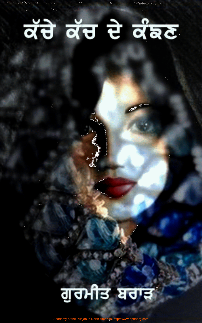**Barriott** 

## ਕੱਚੇ ਕੱਚ ਦੇ ਕੰਙਣ

 $\alpha_{\rm d}$ 

## ਗੁਰਮੀਤ ਬਰਾੜ

emy of the Punjab in North America: http://www.apnaorg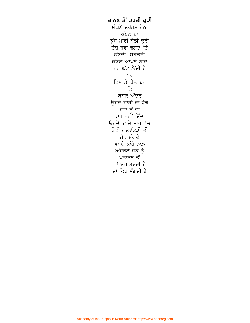ਚਾਨਣ ਤੋਂ ਡਰਦੀ ਕੁੜੀ ਸੰਘਣੇ ਦਰੱਖ਼ਤ ਹੇਠਾਂ ਕੰਬਲ਼ ਦਾ ਝੁੰਬ ਮਾਰੀ ਬੈਠੀ ਕੁੜੀ ਤੇਜ਼ ਹਵਾ ਵਗਣ 'ਤੇ ਕੰਬਦੀ, ਸੁੰਗੜਦੀ ਕੰਬਲ਼ ਆਪਣੇ ਨਾਲ਼ ਹੋਰ ਘੁੱਟ ਲੈਂਦੀ ਹੈ ਪਰ ਇਸ ਤੋਂ ਬੇ-ਖ਼ਬਰ ਕਿ ਕੰਬਲ਼ ਅੰਦਰ ਉਹਦੇ ਸਾਹਾਂ ਦਾ ਵੇਗ ਹਵਾ ਨੂੰ ਵੀ ਡਾਹ ਨਹੀਂ ਦਿੰਦਾ ਓਹਦੇ ਭਖ਼ਦੇ ਸਾਹਾਂ 'ਚ ਕੋਈ ਗਲ਼ਵੱਕੜੀ ਦੀ ਖ਼ੈਰ ਮੰਗਦੈ ਵਧਦੇ ਕਾਂਬੇ ਨਾਲ਼ ਅੰਦਰਲੇ ਜੋੜ ਨੂੰ ਪਛਾਨਣ ਤੋਂ ਜਾਂ ਉਹ ਡਰਦੀ ਹੈ ਜਾਂ ਫਿਰ ਸੰਗਦੀ ਹੈ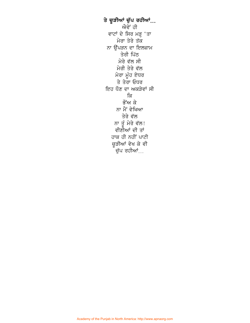ਤੇ ਚੂੜੀਆਂ ਚੁੱਪ ਰਹੀਆਂ... ਐਵੇਂ ਹੀ ਵਾਟਾਂ ਦੇ ਸਿਰ ਮੜ੍ਹ 'ਤਾ ਮੇਰਾ ਤੇਰੇ ਤੱਕ ਨਾ ਉੱਪੜਨ ਦਾ ਇਲਜ਼ਾਮ ਤੇਰੀ ਪਿੱਠ ਮੇਰੇ ਵੱਲ ਸੀ ਮੇਰੀ ਤੇਰੇ ਵੱਲ ਮੇਰਾ ਮੂੰਹ ਏਧਰ ਤੇ ਤੇਰਾ ਓਧਰ ਇਹ ਧੌਣ ਦਾ ਅਕੜੇਵਾਂ ਸੀ ਕਿ ਭੌਂਅ ਕੇ ਨਾ ਮੈਂ ਵੇਖਿਆ ਤੇਰੇ ਵੱਲ ਨਾ ਤੂੰ ਮੇਰੇ ਵੱਲ! ਵੀਣੀਆਂ ਦੀ ਤਾਂ ਹਾਕ ਹੀ ਨਹੀਂ ਪਾਟੀ ਚੂੜੀਆਂ ਵੇਖ ਕੇ ਵੀ ਚੁੱਪ ਰਹੀਆਂ<sub>…</sub>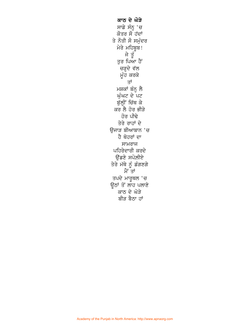ਕਾਠ ਦੇ ਘੋੜੇ ਸਾਡੇ ਸੰਨ੍ਹ 'ਚ ਕੋਤਰ ਸੌ ਹੱਦਾਂ ਤੇ ਨੌਤੀ ਸੌ ਸਮੁੰਦਰ ਮੇਰੇ ਮਹਿਬੂਬ! ਜੇ ਤੂੰ<br>ਤੁਰ ਪਿਆ ਹੈ<sup>ਂ</sup> ਚੜ੍ਹਦੇ ਵੱਲ ਮੂੰਹ ਕਰਕੇ ਤਾਂ ਮਸ਼ਕਾਂ ਬੰਨ੍ਹ ਲੈ ਘੁੰਘਟ ਦੇ ਪਟ ਬੁੱਲ੍ਹੀਂ ਚਿੱਥ ਕੇ ਕਰ ਲੈ ਹੋਰ ਭੀੜੇ ਹੋਰ ਪੀਢੇ ਤੇਰੇ ਰਾਹਾਂ ਦੇ ਉਜਾੜ ਬੀਆਬਾਨ 'ਚ ਹੈ ਥੋਹਰਾਂ ਦਾ ਸਾਮਰਾਜ ਪਹਿਰੇਦਾਰੀ ਕਰਦੇ ਓਂਡਣੇ ਸਪੋਲੀਏ ਤੇਰੇ ਮੱਥੇ ਨੂੰ ਡੰਗਣਗੇ ਮੈਂ ਤਾਂ ਤਪਦੇ ਮਾਰੂਥਲ 'ਚ ਉਠਾਂ ਤੋਂ ਲਾਹ ਪਲਾਣੇ ਕਾਠ ਦੇ ਘੋੜੇ ਬੀੜ ਬੈਠਾ ਹਾਂ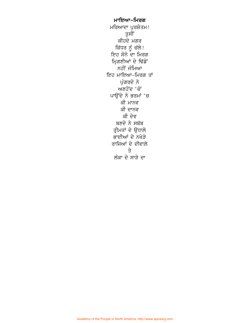ਮਾਇਆ–ਮਿਰਗ ਮਰਿਆਦਾ ਪੁਰਸ਼ੋਤਮ!<br>ਤੁਸੀਂ ਕੀਹਦੇ ਮਗਰ ਕਿੱਧਰ ਨੂੰ ਚੱਲੇ! ਇਹ ਸੋਨੇ ਦਾ ਮਿਰਗ ਮ੍ਰਿਗਣੀਆਂ ਦੇ ਢਿੱਡੋਂ ਨਹੀਂ ਜੰਮਿਆ ਇਹ ਮਾਇਆ-ਮਿਰਗ ਤਾਂ ਪੁੰਗਰਦੇ ਨੇ ਅਣਹੋਂਦ 'ਚੋਂ ਪਾਉਂਦੇ ਨੇ ਭਰਮਾਂ 'ਚ ਕੀ ਮਾਨਵ ਕੀ ਦਾਨਵ ਕੀ ਦੇਵ ਬਣਦੇ ਨੇ ਸਬੱਬ ਤ੍ਰੀਮਤਾਂ ਦੇ ਉਧਾਲੇ ਭਾਈਆਂ ਦੇ ਨਖੇੜੇ ਰਾਜਿਆਂ ਦੇ ਦੀਵਾਲ਼ੇ  $\overrightarrow{3}$ ਲੰਕਾ ਦੇ ਸਾੜੇ ਦਾ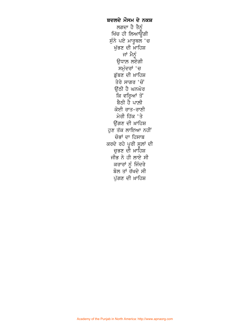ਬਦਲਦੇ ਮੌਸਮ ਦੇ ਨਕਸ਼ ਲਗਦਾ ਹੈ ਤੈਨੰ ਖਿੱਚ ਹੀ ਲਿਆਊਗੀ ਸੁੰਨੇ ਪਏ ਮਾਰੂਥਲ 'ਚ ਖੁੱਭਣ ਦੀ ਖ਼ਾਹਿਸ਼ ਜਾਂ ਮੈਨੂੰ ਉਧਾਲ਼ ਲਏਗੀ ਸਮੁੰਦਰਾਂ 'ਚ ਡੁੱਬਣ ਦੀ ਖ਼ਾਹਿਸ਼ ਤੇਰੇ ਸਾਗਰ 'ਚੋਂ ਉੱਠੀ ਹੈ ਘਨਘੋਰ ਕਿ ਵਰ੍ਹਿਆਂ ਤੋਂ ਬੈਠੀ ਹੈ ਪਾਲ਼ੀ ਕੋਈ ਰਾਤ-ਰਾਣੀ ਮੇਰੀ ਹਿੱਕ 'ਤੇ ਓਂਗਣ ਦੀ ਖ਼ਾਹਿਸ਼ ਹੁਣ ਤੱਕ ਲਾਇਆ ਨਹੀਂ ਚੋਭਾਂ ਦਾ ਹਿਸਾਬ ਕਰਦੇ ਰਹੇ ਪੂਰੀ ਸੂਲਾਂ ਦੀ ਚੁਭਣ ਦੀ ਖ਼ਾਹਿਸ਼ ਜੀਭ ਨੇ ਹੀ ਲਾਏ ਸੀ ਕਰਾਰਾਂ ਨੂੰ ਜਿੰਦਰੇ ਬੋਲ ਤਾਂ ਰੱਖਦੇ ਸੀ ਪੁੱਗਣ ਦੀ ਖ਼ਾਹਿਸ਼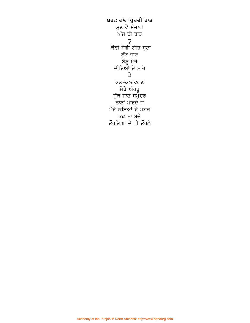ਬਰਫ਼ ਵਾਂਗ ਖੁਰਦੀ ਰਾਤ ਸੁਣ ਵੇ ਸੱਜਣ! ਅੱਜ ਦੀ ਰਾਤ ਤੁੱ ਕੋਈ ਸੋਗੀ ਗੀਤ ਸੁਣਾ ਟੁੱਟ ਜਾਣ ਬੌਨ੍ਹ ਮੇਰੇ ਦੀਦਿਆਂ ਦੇ ਸਾਰੇ  $\Rightarrow$ ਕਲ-ਕਲ ਵਗਣ ਮੇਰੇ ਅੱਥਰੂ ਸੁੱਕ ਜਾਣ ਸਮੁੰਦਰ ਠਾਠਾਂ ਮਾਰਦੇ ਜੋ ਮੇਰੇ ਕੋਇਆਂ ਦੇ ਮਗਰ ਕੁਛ ਨਾ ਬਚੇ ਓਹਲਿਆਂ ਦੇ ਵੀ ਓਹਲੇ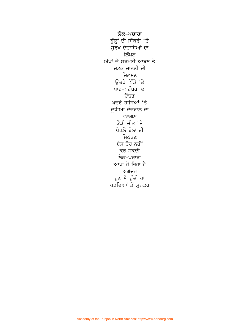ਲੋਕ-ਪਚਾਰਾ ਬੁੱਲ੍ਹਾਂ ਦੀ ਸਿੱਕਰੀ 'ਤੇ ਸੁਰਖ਼ ਦੰਦਾਸਿਆਂ ਦਾ ਲਿੱਪਣ ਅੱਖਾਂ ਦੇ ਸੁਰਮਈ ਆਥਣ ਤੇ ਚਟਕ ਚਾਨਣੀ ਦੀ ਚਿਲਮਣ ਉੱਚੜੇ ਪਿੰਡੇ 'ਤੇ ਪਾਟ-ਪਟੰਬਰਾਂ ਦਾ ਓਢਣ ਖਚਰੇ ਹਾਸਿਆਂ 'ਤੇ ਦੁਧੀਆ ਦੰਦਰਾਲ਼ ਦਾ ਵਲਗਣ ਕੌੜੀ ਜੀਭ 'ਤੇ ਖੋਖਲ਼ੇ ਬੋਲਾਂ ਦੀ ਮਿਠੱਤਣ ਬੱਸ ਹੋਰ ਨਹੀਂ ਕਰ ਸਕਦੀ ਲੋਕ-ਪਚਾਰਾ ਆਪਾ ਹੋ ਰਿਹਾ ਹੈ ਅਗੋਚਰ ਹੁਣ ਮੈਂ ਹੁੰਦੀ ਹਾਂ ਪੜਦਿਆਂ ਤੋਂ ਮੁਨਕਰ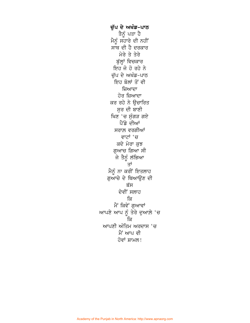ਚੁੱਪ ਦੇ ਅਖੰਡ-ਪਾਠ ਤੈਨੂੰ ਪਤਾ ਹੈ ਮੈਨੂੰ ਸਹਾਰੇ ਦੀ ਨਹੀਂ ਸਾਥ ਦੀ ਹੈ ਦਰਕਾਰ ਮੇਰੇ ਤੇ ਤੇਰੇ ਬੁੱਲ੍ਹਾਂ ਵਿਚਕਾਰ ਇਹ ਜੋ ਹੋ ਰਹੇ ਨੇ ਚੁੱਪ ਦੇ ਅਖੰਡ-ਪਾਠ ਇਹ ਬੋਲਾਂ ਤੋਂ ਵੀ ਜ਼ਿਆਦਾ ਹੋਰ ਜ਼ਿਆਦਾ ਕਰ ਰਹੇ ਨੇ ਉਚਾਰਿਤ ਸਰ ਦੀ ਬਾਣੀ ਖਿਣ 'ਚ ਸੁੰਗੜ ਗਏ ਪੈਂਡੇ ਦੀਆਂ ਸਰਾਲ਼ ਵਰਗੀਆਂ ਵਾਟਾਂ 'ਚ ਕਦੇ ਮੇਰਾ ਕੁਝ ਗੁਆਚ ਗਿਆ ਸੀ ਜੇ ਤੈਨੂੰ ਲੱਭਿਆ ਤਾਂ ਮੈਨੂੰ ਨਾ ਕਰੀਂ ਇਤਲਾਹ ਗੁਆਚੇ ਦੇ ਥਿਆਉਣ ਦੀ ਬੱਸ ਦੇਵੀਂ ਸਲਾਹ ਕਿ ਮੈਂ ਕਿਵੇਂ ਗੁਆਵਾਂ ਆਪਣੇ ਆਪ ਨੂੰ ਤੇਰੇ ਦੁਆਲ਼ੇ 'ਚ ਕਿ ਆਪਣੀ ਅੰਤਿਮ ਅਰਦਾਸ 'ਚ ਮੈਂ ਆਪ ਵੀ ਹੋਵਾਂ ਸ਼ਾਮਲ!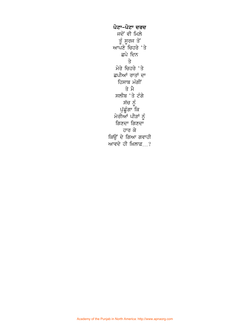ਪੋਟਾ-ਪੋਟਾ ਦਰਦ ਜਦੋਂ ਵੀ ਮਿਲ਼ੇ ਤੂੰ ਸੂਰਜ ਤੋਂ<br>ਆਪਣੇ ਚਿਹਰੇ 'ਤੇ ਛਪੇ ਦਿਨ ਤੇ ਮੇਰੇ ਚਿਹਰੇ 'ਤੇ ਛਪੀਆਂ ਰਾਤਾਂ ਦਾ ਹਿਸਾਬ ਮੰਗੀਂ ਤੇ ਮੈ ਸਲੀਬ 'ਤੇ ਟੰਗੇ ਸੱਚ ਨੂੰ<br>ਪੁੱਛੂੰਗਾ ਕਿ ਮੇਰੀਆਂ ਪੀੜਾਂ ਨੂੰ ਗਿਣਦਾ ਗਿਣਦਾ ਹਾਰ ਕੇ ਕਿਉਂ ਦੇ ਗਿਆ ਗਵਾਹੀ ਆਵਦੇ ਹੀ ਖ਼ਿਲਾਫ਼...?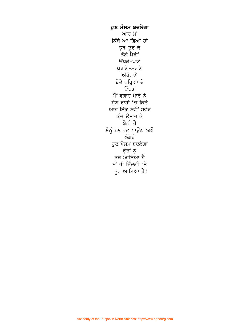ਹੁਣ ਮੌਸਮ ਬਦਲੇਗਾ ਆਹ ਮੈਂ ਕਿੱਥੇ ਆ ਗਿਆ ਹਾਂ ਤਰ-ਤਰ ਕੇ ਨੰਗੇ ਪੈਰੀ ਉੱਧੜੇ-ਪਾਟੇ ਪੁਰਾਣੇ-ਸਰਾਣੇ ਅੱਧੋਰਾਣੇ ਬੋਦੇ ਵਰ੍ਹਿਆਂ ਦੇ ਓਢੌਣ ਮੈਂ ਵਗਾਹ ਮਾਰੇ ਨੇ ਸੁੰਨੇ ਰਾਹਾਂ 'ਚ ਕਿਤੇ ਆਹ ਇੱਕ ਨਵੀਂ ਸਵੇਰ ਕੁੰਜ ਉਤਾਰ ਕੇ ਬੈਠੀ ਹੈ ਮੈਨੂੰ ਨਾਗਵਲ਼ ਪਾਉਣ ਲਈ ਲੱਗਦੈ ਹੁਣ ਮੌਸਮ ਬਦਲੇਗਾ ਰੁੱਤਾਂ ਨੂੰ ਬੁਰ ਆਇਆ ਹੈ ਤਾਂ ਹੀ ਜ਼ਿੰਦਗੀ 'ਤੇ ਨੂਰ ਆਇਆ ਹੈ!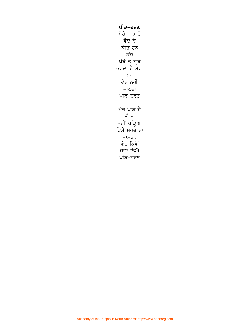ਪੀੜ-ਹਰਣ ਮੇਰੇ ਪੀੜ ਹੈ ਵੈਦ ਨੇ ਕੀਤੇ ਹਨ ਕੰਠ ਪੋਥੇ ਤੇ ਗ੍ਰੰਥ ਕਰਦਾ ਹੈ ਸ਼ਫ਼ਾ ਪਰ ਵੈਦ ਨਹੀਂ ਜਾਣਦਾ ਪੀੜ-ਹਰਣ ਮੇਰੇ ਪੀੜ ਹੈ ਤੂੰ ਤਾਂ ਨਹੀਂ ਪੜ੍ਹਿਆ ਕਿਸੇ ਮਰਜ਼ ਦਾ ਸ਼ਾਸਤਰ ਫੇਰ ਕਿਵੇਂ ਜਾਣ ਲਿਐ ਪੀੜ-ਹਰਣ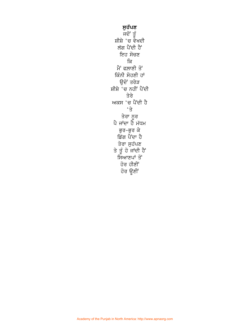**ਸੁਹੱਪਣ**<br>ਜਦੋਂ ਤੂੰ ਸ਼ੀਸ਼ੇ 'ਚ ਵੇਖਦੀ ਲੱਗ ਪੈਂਦੀ ਹੈਂ ਇਹ ਸੋਚਣ ਕਿ ਮੈਂ ਫਲਾਣੀ ਤੋਂ ਕਿੰਨੀ ਸੋਹਣੀ ਹਾਂ ਉਦੋਂ ਤਰੇੜ ਸ਼ੀਸ਼ੇ <sup>ੱ</sup>ਚ ਨਹੀਂ ਪੈਂਦੀ ਤੇਰੇ ਅਕਸ 'ਚ ਪੈਂਦੀ ਹੈ  $\overrightarrow{3}$ ਤੇਰਾ ਨੂਰ<br>ਪੈ ਜਾਂਦਾ ਹੈ ਮੱਧਮ ਭੁਰ−ਭੁਰ ਕੇ ਡਿੱਗ ਪੈਂਦਾ ਹੈ ਤੇਰਾ ਸੁਹੱਪਣ ਤੇ ਤੂੰ ਹੋ ਜਾਂਦੀ ਹੈ<br>ਸਿਆਣਪਾਂ ਤੋਂ ਹੋਰ ਹੀਣੀਂ ਹੋਰ ਊਣੀ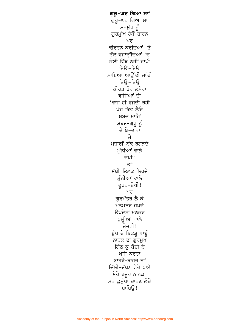ਗੁਰੁ–ਘਰ ਗਿਆ ਸਾਂ ਗਰ-ਘਰ ਗਿਆ ਸਾਂ ਮਨਮੁੱਖ ਨੂੰ ਗਰਮੱਖ ਹੱਥੋਂ ਹਾਰਨ ਪਰ ਕੀਰਤਨ ਕਰਦਿਆਂ ਤੇ ਟੱਲ ਵਜਾੳਂਦਿਆਂ 'ਚ ਕੋਈ ਵਿੱਥ ਨਹੀਂ ਜਾਪੀ ਜਿੳਂ-ਜਿੳਂ ਮਾਇਆ ਆਉਂਦੀ ਜਾਂਦੀ ਤਿੳਂ-ਤਿੳਂ ਕੀਰਤ ਹੋਰ ਲਮੇਰਾ ਵਾਜਿਆਂ ਦੀ 'ਵਾਜ ਹੀ ਵਜਦੀ ਰਹ<u>ੀ</u> ਖੋਜ ਕਿਵ ਲੈਂਦੋ ਸ਼ਬਦ ਮਾਹਿੰ ਸ਼ਬਦ–ਗੁਰੂ ਨੂੰ ਦੇ ਬੇ-ਦਾਵਾ ਜੇ ਮਜ਼ਾਰੀ ਨੱਕ ਰਗੜਦੇ ਮੰਨੀਆਂ ਵਾਲੇ ਦੋਖੀ! ਤਾਂ ਮੱਥੀਂ ਤਿਲਕ ਲਿਪਦੇ ਤੁੰਨੀਆਂ ਵਾਲੇ ਦੁਹਰ-ਦੋਖੀ! ਪਰ ਗਰਮੰਤਰ ਲੈ ਕੇ ਮਨਮੰਤਰ ਜਪਦੇ ਉਪਦੇਸ਼ੋਂ ਮੁਨਕਰ ਖੁਲ੍ਹੀਆਂ ਵਾਲੇ ਦੋਜਖੀ! ਬੁੱਧ ਦੇ ਭਿਕਸ਼ੁ ਵਾਙੂੰ ਨਾਨਕ ਦਾ ਗੁਰਮੁੱਖ ਗਿੱਠ ਕ ਬੋਦੀ ਨੇ ਖੱਸੀ ਕਰਤਾ ਬਾਹਰੇ-ਬਾਹਰ ਤਾਂ ਦਿੱਲੀ-ਦੱਖਣ ਫੇਰੇ ਪਾਏ ਮੇਰੇ ਹਜ਼ੁਰ ਨਾਨਕ! ਮਨ ਕੁਸੁੱਧਾ ਚਾਨਣ ਲੋਚੇ  $B<sub>2</sub>$  arfag !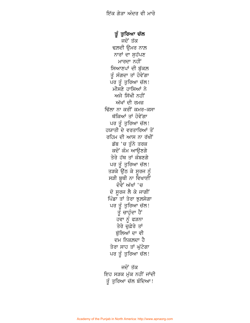ਤੂੰ ਤੁਰਿਆ ਚੱਲ ਜਦੋਂ ਤੱਕ ਢਲ਼ਦੀ ਉਮਰ ਨਾਲ਼ ਨਾਰਾਂ ਦਾ ਸੁਹੱਪਣ ਮਾਰਦਾ ਨਹੀਂ ਸਿਆਣਪਾਂ ਦੀ ਬੁੱਕਲ ਤੂੰ ਸੰਗਦਾ ਤਾਂ ਹੋਵੇਂਗਾ ਪਰ ਤੂੰ ਤੁਰਿਆ ਚੱਲ! ਮੀਸਣੇ ਹਾਸਿਆਂ ਨੇ ਅਜੇ ਸਿੱਖੀ ਨਹੀਂ ਅੱਖਾਂ ਦੀ ਰਮਜ਼ ਢਿੱਲਾ ਨਾ ਕਰੀਂ ਕਮਰ-ਕਸਾ ਥੱਕਿਆਂ ਤਾਂ ਹੋਵੇਗਾ ਪਰ ਤੂੰ ਤਰਿਆ ਚੱਲ! ਹਯਾਤੀ ਦੇ ਵਰਤਾਰਿਆਂ ਤੋਂ ਰਹਿਮ ਦੀ ਆਸ ਨਾ ਰੱਖੀਂ ਡੱਬ 'ਚ ਤੁੰਨੇ ਤਰਕ ਕਦੋਂ ਕੰਮ ਆੳਣਗੇ ਤੇਰੇ ਹੱਥ ਤਾਂ ਕੰਬਣਗੇ ਪਰ ਤੂੰ ਤੁਰਿਆ ਚੱਲ! ਤੜਕੇ ਉੱਠ ਕੇ ਸਰਜ ਨੰ ਸੜੀ ਬੁਥੀ ਨਾ ਵਿਖਾਈਂ ਦੋਵੇਂ ਅੱਖਾਂ 'ਚ ਦੋ ਸੂਰਜ ਲੈ ਕੇ ਜਾਗੀਂ ਪਿੰਡਾ ਤਾਂ ਤੇਰਾ ਝਲ਼ਸੇਗਾ ਪਰ ਤੂੰ ਤੁਰਿਆ ਚੱਲ!<br>'ਤੂੰ ਚਾਹੁੰਦਾ ਹੈਂ ਹਵਾ ਨੂੰ ਫੜਨਾ ਤੇਰੇ ਚੁਫ਼ੇਰੇ ਤਾਂ ਬੱਲਿਆਂ ਦਾ ਵੀ ਦਮ ਨਿਕਲ਼ਦਾ ਹੈ ਤੇਰਾ ਸਾਹ ਤਾਂ ਘੱਟੇਗਾ ਪਰ ਤੂੰ ਤੁਰਿਆ ਚੱਲ!

ਜਦੋਂ ਤੱਕ ਇਹ ਸੜਕ ਮੱਕ ਨਹੀਂ ਜਾਂਦੀ ਤੰ ਤਰਿਆ ਚੱਲ ਬੰਦਿਆ!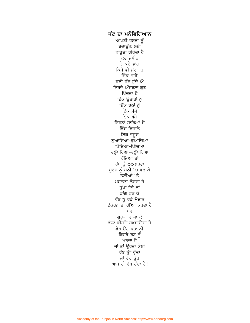ਜੱਟ ਦਾ ਮਨੋਵਿਗਿਆਨ ਆਪਣੀ ਹਸਤੀ ਨੂੰ ਬਚਾਉਂਣ ਲਈ ਵਾਹੁੰਦਾ ਰਹਿੰਦਾ ਹੈ ਕਦੇ ਜ਼ਮੀਨ ਤੇ ਕਦੇ ਡਾਂਗ ਕਿਸੇ ਵੀ ਜੱਟ 'ਚ ਇੱਕ ਨਹੀਂ ਕਈ ਜੱਟ ਹੁੰਦੇ ਐ ਇਹਦੇ ਅੰਦਰਲਾ ਕੁਝ ਖਿੱਚਦਾ ਹੈ ਇੱਕ ਉਤਾਹਾਂ ਨੂੰ<br>ਇੱਕ ਹੇਠਾਂ ਨੂੰ ਇੱਕ ਸੱਜੇ ਇੱਕ ਖੱਬੇ ਇਹਨਾਂ ਸਾਰਿਆਂ ਦੇ ਵਿੱਚ ਵਿਚਾਲ਼ੇ ਇੱਕ ਵਜਦ ਗੁਆਚਿਆ–ਗੁਆਚਿਆ ਖਿੱਚਿਆ–ਖਿੱਚਿਆ ਵਲੁੰਧਰਿਆ–ਵਲੁੰਧਰਿਆ ਰੱਜਿਆ ਤਾਂ ਰੱਬ ਨੂੰ ਲਲਕਾਰਦਾ ਸੁਰਜ ਨੂੰ ਮੁੱਠੀ 'ਚ ਫੜ ਕੇ ਤਲ਼ੀਆਂ 'ਤੇ ਮਸਲਣਾ ਲੋਚਦਾ ਹੈ ਭੁੱਖਾ ਹੋਵੇ ਤਾਂ ਡਾਂਗ ਫੜ ਕੇ ਰੱਬ ਨੂੰ ਰੜੇ ਮੈਦਾਨ ਟੱਕਰਨ ਦਾ ਹੀਂਆ ਕਰਦਾ ਹੈ ਪਰ ਗੁਰੁ-ਘਰ ਜਾ ਕੇ ਭੁੱਲਾਂ ਕੀਹਤੋਂ ਬਖ਼ਸ਼ਾਉਂਦਾ ਹੈ ਫੇਰ ਉਹ ਪਤਾ ਨ੍ਹੀਂ ਕਿਹੜੇ ਰੱਬ ਨੂੰ ਮੰਨਦਾ ਹੈ ਜਾਂ ਤਾਂ ਉਹਦਾ ਕੋਈ ਰੱਬ ਨ੍ਹੀਂ ਹੁੰਦਾ ਜਾਂ ਫੇਰ ਉਹ ਆਪ ਹੀ ਰੱਬ ਹੁੰਦਾ ਹੈ!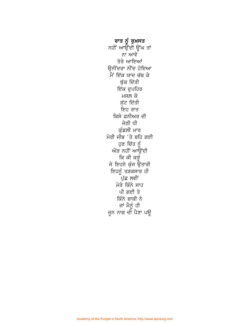ਰਾਤ ਨੂੰ ਰੁਖ਼ਸਤ ਨਹੀਂ ਆਉਂਦੀ ਉਂਘ ਤਾਂ ਨਾ ਆਵੇ ਤੇਰੇ ਆਇਆਂ ੳਨੀਂਦਰਾ ਨੀਂਦ ਹੋਇਆ ਮੈਂ ਇੱਕ ਯਾਦ ਚੱਬ ਕੇ ਥੁੱਕ ਦਿੱਤੀ ਇੱਕ ਦੁਪਹਿਰ ਮਸਲ਼ ਕੇ ਸੁੱਟ ਦਿੱਤੀ ਇਹ ਰਾਤ ਕਿਸੇ ਫ਼ਨੀਅਰ ਦੀ ਜੇਠੀ ਧੀ ਕੁੰਡਲ਼ੀ ਮਾਰ ਮੇਰੀ ਜੀਭ 'ਤੇ ਬਹਿ ਗਈ ਹੁਣ ਚਿੱਤ ਨੂੰ ਔੜ ਨਹੀਂ ਆਉਂਦੀ ਕਿ ਕੀ ਕਰੰ ਜੇ ਇਹਨੇ ਕੁੰਜ ਉਤਾਰੀ ਇਹਨੂੰ ਤੜਕਸਾਰ ਹੀ -<br>ਪੁੱਛ ਲਵੀਂ ਮੇਰੇ ਕਿੰਨੇ ਸਾਹ ਪੀ ਗਈ ਤੇ ਕਿੰਨੇ ਬਾਕੀ ਨੇ ਜਾਂ ਮੈਨੂੰ ਹੀ<br>ਜੂਨ ਨਾਗ ਦੀ ਪੈਣਾ ਪਊ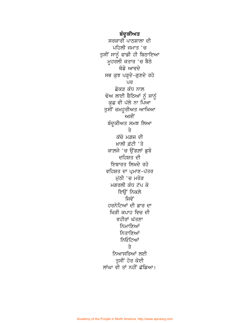ਬੰਦੂਕੀਅਤ ਸਰਕਾਰੀ ਪਾਠਸ਼ਾਲਾ ਦੀ ਪਹਿਲੀ ਜਮਾਤ 'ਚ ਤੁਸੀਂ ਸਾਨੂੰ ਫਾਡੀ ਹੀ ਬਿਠਾਇਆ ਮੂਹਰਲੀ ਕਤਾਰ 'ਚ ਬੈਠੇ ਥੋਡੇ ਆਵਦੇ ਸਭ ਕੁਝ ਪੜ੍ਹਦੇ-ਗੁਣਦੇ ਰਹੇ ਪਰ ਛੇਕੜ ਕੰਧ ਨਾਲ਼ ਢੋਅ ਲਾਈ ਬੈਠਿਆਂ ਨੂੰ ਸਾਨੂੰ ਕੁਛ ਵੀ ਪੱਲੇ ਨਾ ਪਿਆ ਤੁਸੀਂ ਜ਼ਮਹੂਰੀਅਤ ਆਖਿਆ ਅਸੀਂ ਬੰਦੂਕੀਅਤ ਸਮਝ ਲਿਆ  $\Rightarrow$ ਕੱਚੇ ਮਗ਼ਜ਼ ਦੀ ਖ਼ਾਲੀ ਫ਼ੱਟੀ 'ਤੇ ਕਾਲ਼ਜੇ 'ਚ ਉਂਗਲਾਂ ਡੁਬੋ ਦਹਿਸ਼ਤ ਦੀ ਇਬਾਰਤ ਲਿਖਦੇ ਰਹੇ ਵਹਿਸ਼ਤ ਦਾ ਪ੍ਰਮਾਣ-ਪੱਤਰ ਮੁੱਠੀ 'ਚ ਮਰੋੜ ਮਗਰਲੀ ਕੰਧ ਟੱਪ ਕੇ ਇੳਂ ਨਿਕਲੇ <u>ਜਿਵੇਂ</u> ਹਰਨੋਟਿਆਂ ਦੀ ਡਾਰ ਦਾ ਖਿੜੀ ਕਪਾਹ ਵਿਚ ਦੀ ਵਹੀਰਾਂ ਘੱਤਣਾ ਨਿਮਾਣਿਆਂ ਨਿਤਾਣਿਆਂ ਨਿਓਟਿਆਂ  $\Rightarrow$ ਨਿਆਸਰਿਆਂ ਲਈ ਤਸੀਂ ਹੋਰ ਕੋਈ ਲਾਂਘਾ ਵੀ ਤਾਂ ਨਹੀਂ ਛੱਡਿਆ।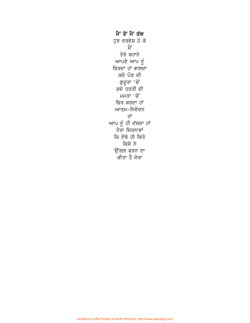ਮੈਂ ਤੋਂ ਮੈਂ ਤੱਕ ਹੁਣ ਦਰਵੇਸ਼ ਹੋ ਕੇ ਮੈਂ ਤੇਰੇ ਬਹਾਨੇ ਆਪਣੇ ਆਪ ਨੂੰ ਫਿਰਦਾ ਹਾਂ ਭਾਲ਼ਦਾ ਕਦੇ ਪੌਣ ਦੀ ਗੁਰੂਤਾ 'ਚੋਂ ਕਦੇ ਧਰਤੀ ਦੀ ਮਮਤਾ 'ਚੋਂ ਫਿਰ ਕਰਦਾ ਹਾਂ ਆਤਮ-ਨਿਵੇਦਨ ਤਾਂ ਆਪ ਨੂੰ ਹੀ ਦੱਸਦਾ ਹਾਂ ਤੇਰਾ ਸਿਰਨਾਵਾਂ ਕਿ ਏਥੇ ਹੀ ਕਿਤੇ ਕਿਸੇ ਨੇ ਉਂਗਲ ਫੜਨ ਦਾ <sup>ੱ</sup>ਕੀਤਾ ਹੈ ਜੇਰਾ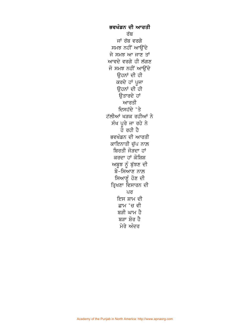ਭਵਖੰਡਨ ਦੀ ਆਰਤੀ ਰੱਬ ਜਾਂ ਰੱਬ ਵਰਗੇ ਸਮਝ ਨਹੀਂ ਆੳਂਦੇ ਜੇ ਸਮਝ ਆ ਜਾਣ ਤਾਂ ਆਵਦੇ ਵਰਗੇ ਹੀ ਲੱਗਣ ਜੋ ਸਮਝ ਨਹੀਂ ਆਉਂਦੇ ਉਹਨਾਂ ਦੀ ਹੀ ਕਰਦੇ ਹਾਂ ਪੂਜਾ ਉਹਨਾਂ ਦੀ ਹੀ ਉਤਾਰਦੇ ਹਾਂ ਆਰਤੀ ਦਿਸਹੱਦੇ 'ਤੇ ਟੱਲੀਆਂ ਖੜਕ ਰਹੀਆਂ ਨੇ ਸੰਖ ਪਰੇ ਜਾ ਰਹੇ ਨੇ ਹੋ ਰਹੀ ਹੈ ਭਵਖੰਡਨ ਦੀ ਆਰਤੀ ਕਾਇਨਾਤੀ ਚੁੱਪ ਨਾਲ਼ ਬਿਰਤੀ ਜੋੜਦਾ ਹਾਂ ਕਰਦਾ ਹਾਂ ਕੋਸ਼ਿਸ਼ ਅਬੂਝ ਨੂੰ ਬੁੱਝਣ ਦੀ <u>ਬੇ-ਸਿਆਣ ਨਾਲ</u> ਸਿਆਣੂੰ ਹੋਣ ਦੀ ਤ੍ਰਿਖਣਾ ਵਿਸਾਰਨ ਦੀ ਪਰ ਇਸ ਸ਼ਾਮ ਦੀ ਛਾਮ 'ਚ ਵੀ ਬੜੀ ਘਾਮ ਹੈ ਬੜਾ ਸ਼ੋਰ ਹੈ ਮੇਰੇ ਅੰਦਰ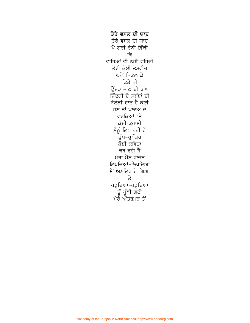ਤੇਰੇ ਵਸਲ ਦੀ ਯਾਦ ਤੇਰੇ ਵਸਲ ਦੀ ਯਾਦ ਪੈ ਗਈ ਏਨੀ ਫ਼ਿੱਕੀ ਕਿ ਵਾਹਿਆਂ ਵੀ ਨਹੀਂ ਵਹਿੰਦੀ ਤੇਰੀ ਕੋਈ ਤਸਵੀਰ ਘਰੋਂ ਨਿਕਲ਼ ਕੇ ਕਿਤੇ ਵੀ ਉਂਜੜ ਜਾਣ ਦੀ ਤਾਂਘ ਜ਼ਿੰਦਗੀ ਦੇ ਸਬੱਬਾਂ ਦੀ ਬੇਲੋੜੀ ਦਾਤ ਹੈ ਕੋਈ ਹਣ ਤਾਂ ਖ਼ਲਾਅ ਦੇ ਵਰਕਿਆਂ 'ਤੇ ਕੋਈ ਕਹਾਣੀ ਮੈਨੂੰ ਲਿਖ ਰਹੀ ਹੈ -<br>ਚੁੱਪ−ਚੁਪੰਤਰ ਕੋਈ ਕਵਿਤਾ ਕਰ ਰਹੀ ਹੈ ਮੇਰਾ ਮੌਨ ਵਾਚਨ ਲਿਖਦਿਆਂ-ਲਿਖਦਿਆਂ ਮੈਂ ਅਣਲਿਖ ਹੋ ਗਿਆ ਤੇ ਪੜ੍ਹਦਿਆਂ-ਪੜ੍ਹਦਿਆਂ ੱਤੂੰ ਪੂੰਝੀ ਗਈ<br>ਮੇਰੇ ਅੰਤਰਮਨ ਤੋਂ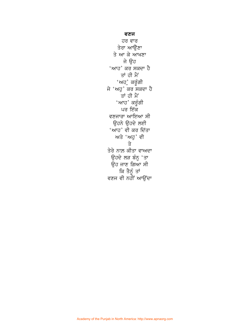## ਵਣਜ

ਹਰ ਵਾਰ ਤੇਰਾ ਆਉਣਾ ਤੇ ਆ ਕੇ ਆਖਣਾ ਜੇ ਉਹ 'ਆਹ' ਕਰ ਸਕਦਾ ਹੈ ਤਾਂ ਹੀ ਮੈਂ 'ਅਹ*ੁ* ਕਰੂੰਗੀ ਜੇ 'ਅਹੁ' ਕਰ ਸਕਦਾ ਹੈ ਤਾਂ ਹੀ ਮੈਂ 'ਆਹ' ਕਰੂੰਗੀ ਪਰ ਇੱਕ ਵਣਜਾਰਾ ਆਇਆ ਸੀ ਉਹਨੇ ਉਹਦੇ ਲਈ 'ਆਹ' ਵੀ ਕਰ ਦਿੱਤਾ ਅਤੇ 'ਅਹੁ' ਵੀ ਤੇ ਤੇਰੇ ਨਾਲ਼ ਕੀਤਾ ਵਾਅਦਾ ਉਹਦੇ ਲੜ ਬੰਨ੍ਹ 'ਤਾ ਉਹ ਜਾਣ ਗਿਆ ਸੀ ੱ ਕਿ ਤੈਨੂੰ ਤਾਂ<br>ਵਣਜ ਵੀ ਨਹੀਂ ਆਉਂਦਾ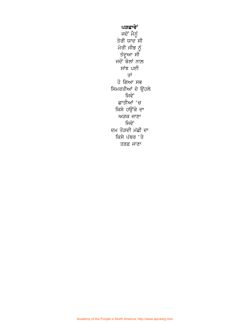ਪੜਛਾਵੇਂ ਜਦੋਂ ਮੈਨੂੰ ਤੇਰੀ ਯਾਦ<sup>ੱ</sup>ਸੀ ਮੇਰੀ ਜੀਭ ਨੂੰ ਤੰਦੂਆ ਸੀ ਜਦੋਂ ਬੋਲਾਂ ਨਾਲ਼ ਸਾਂਝ ਪਈ ਤਾਂ ਹੋ ਗਿਆ ਸਭ ਸਿਮਰਤੀਆਂ ਦੇ ਉਹਲੇ ਜਿਵੇਂ ਛਾਤੀਆਂ 'ਚ ਕਿਸੇ ਹਉਂਕੇ ਦਾ ਅੜਕ ਜਾਣਾ ਜਿਵੇਂ ਦਮ ਤੋੜਦੀ ਮੱਛੀ ਦਾ ਕਿਸੇ ਪੱਥਰ 'ਤੇ ਤੜਫ਼ ਜਾਣਾ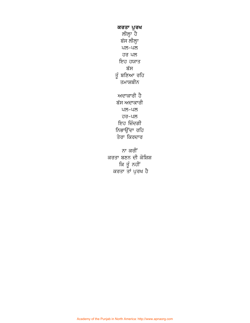ਕਰਤਾ ਪੁਰਖ ਲੀਲ੍ਹਾ ਹੈ ਬੱਸ ਲੀਲ੍ਹਾ ਪਲ–ਪਲ ਹਰ ਪਲ ਇਹ ਹਯਾਤ ਬੱਸ ਤੂੰ ਬਣਿਆ ਰਹਿ ਤਮਾਸ਼ਬੀਨ ਅਦਾਕਾਰੀ ਹੈ ਬੱਸ ਅਦਾਕਾਰੀ ਪਲ–ਪਲ ਹਰ-ਪਲ ਇਹ ਜ਼ਿੰਦਗੀ ਨਿਭਾਉਂਦਾ ਰਹਿ ਤੇਰਾ ਕਿਰਦਾਰ ਨਾ ਕਰੀਂ ਕਰਤਾ ਬਣਨ ਦੀ ਕੋਸ਼ਿਸ਼ ਕਿ ਤੁੱ ਨਹੀਂ

ਕਰਤਾ ਤਾਂ ਪੁਰਖ ਹੈ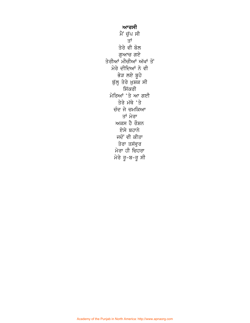ਆਰਸੀ ਮੈਂ ਚੁੱਪ ਸੀ ਤਾਂ ਤੇਰੇ ਵੀ ਬੋਲ ਗੁਆਚ ਗਏ ਤੇਰੀਆਂ ਮੀਚੀਆਂ ਅੱਖਾਂ ਤੋਂ ਮੇਰੇ ਦੀਦਿਆਂ ਨੇ ਵੀ ਭੇੜ ਲਏ ਬੂਹੇ ਬੁੱਲ੍ਹ ਤੇਰੇ ਖ਼ੁਸ਼ਕ ਸੀ ਸਿੱਕਰੀ ਮੇਰਿਆਂ 'ਤੇ ਆ ਗਈ ਤੇਰੇ ਮੱਥੇ 'ਤੇ ਚੰਦ ਜੇ ਚਮਕਿਆ ਤਾਂ ਮੇਰਾ ਅਕਸ ਹੈ ਰੌਸ਼ਨ ਏਸੇ ਬਹਾਨੇ ਜਦੋਂ ਵੀ ਕੀਤਾ ਤੇਰਾ ਤਸੱਵੁਰ ਮੇਰਾ ਹੀ ਚਿਹਰਾ ਮੇਰੇ ਰੂ-ਬ-ਰੂ ਸੀ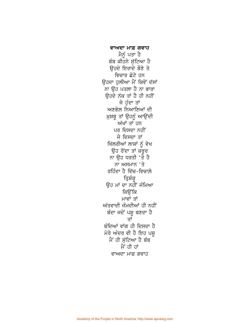ਵਾਅਦਾ ਮਾਫ਼ ਗਵਾਹ ਮੈਨੰ ਪਤਾ ਹੈ ਬੰਬ ਕੀਹਨੇ ਸੱਟਿਆ ਹੈ ਉਹਦੇ ਇਰਾਦੇ ਬੌਣੇ ਤੇ ਵਿਚਾਰ ਛੋਟੇ ਹਨ ਓਹਦਾ ਹਲੀਆ ਮੈਂ ਕਿਵੇਂ ਦੱਸਾਂ ਨਾ ਉਹ ਪਤਲਾ ਹੈ ਨਾ ਭਾਰਾ ਉਹਦੇ ਨੱਕ ਤਾਂ ਹੈ ਹੀ ਨਹੀਂ ਜੇ ਹੰਦਾ ਤਾਂ ਅਣਭੋਲ਼ ਨਿਆਣਿਆਂ ਦੀ ਖ਼ਸ਼ਬ ਤਾਂ ਉਹਨੂੰ ਆਉਂਦੀ ਅੱਖਾਂ ਤਾਂ ਹਨ ਪਰ ਦਿਸਦਾ ਨਹੀਂ ਜੇ ਦਿਸਦਾ ਤਾਂ ਖਿੱਲਰੀਆਂ ਲਾਸ਼ਾਂ ਨੂੰ ਵੇਖ ਉਹ ਰੋਂਦਾ ਤਾਂ ਜ਼ਰੂਰ ਨਾ ਉਹ ਧਰਤੀ 'ਤੇ ਹੈ ਨਾ ਅਸਮਾਨ 'ਤੇ ਰਹਿੰਦਾ ਹੈ ਵਿੱਚ-ਵਿਚਾਲੇ ਤ੍ਰਿਸ਼ੰਕ੍ਰ ਉਹ ਮਾਂ ਦਾ ਨਹੀਂ ਜੰਮਿਆ ਕਿੳਂਕਿ ਮਾਵਾਂ ਤਾਂ ਅੱਤਵਾਦੀ ਜੰਮਦੀਆਂ ਹੀ ਨਹੀਂ ਬੰਦਾ ਜਦੋਂ ਪਸ਼ੂ ਬਣਦਾ ਹੈ ਤਾਂ ਬੰਦਿਆਂ ਵਾਂਗ ਹੀ ਦਿਸਦਾ ਹੈ ਮੇਰੇ ਅੰਦਰ ਵੀ ਹੈ ਇਹ ਪਸ਼ ਮੈਂ ਹੀ ਸੱਟਿਆ ਹੈ ਬੰਬ ਮੈਂ ਹੀ ਹਾਂ ਵਾਅਦਾ ਮਾਫ਼ ਗਵਾਹ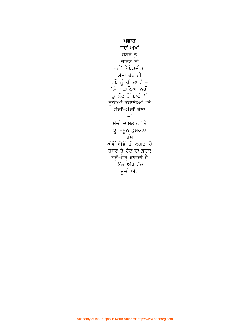ਪਛਾਣ ਜਦੋਂ ਅੱਖਾਂ ਹਨੇਰੇ ਨੂੰ<br>ਚਾਨਣ ਤੋਂ ਨਹੀਂ ਨਿਖੇੜਦੀਆਂ ਸੱਜਾ ਹੱਥ ਹੀ ਖੱਬੇ ਨੂੰ ਪੁੱਛਦਾ ਹੈ – 'ਮੈਂ ਪਛਾਣਿਆ ਨਹੀਂ ਤੂੰ ਕੌਣ ਹੈ ਭਾਈ?'<br>ਝੂਠੀਆਂ ਕਹਾਣੀਆਂ 'ਤੇ ਸੱਚੀਂ-ਮੁੱਚੀਂ ਰੋਣਾ ਜਾਂ ਸੱਚੀ ਦਾਸਤਾਨ 'ਤੇ ਝੂਠ-ਮੂਠ ਡੁਸਕਣਾ ਬੱਸ ਐਵੇਂ ਐਵੇਂ ਹੀ ਲਗਦਾ ਹੈ ਹੱਸਣ ਤੇ ਰੋਣ ਦਾ ਫ਼ਰਕ ਹੋਰੂੰ-ਹੋਰੂੰ ਝਾਕਦੀ ਹੈ -<br>ਇੱਕ ਅੱਖ ਵੱਲ ਦੂਜੀ ਅੱਖ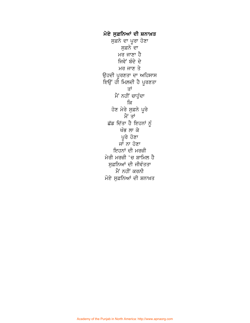ਮੋਏ ਸੁਫ਼ਨਿਆਂ ਦੀ ਸ਼ਨਾਖ਼ਤ ਸੁਫ਼ਨੇ ਦਾ ਪੂਰਾ ਹੋਣਾ ਸਫ਼ਨੇ ਦਾ ਮਰ ਜਾਣਾ ਹੈ ਜਿਵੇਂ ਬੰਦੇ ਦੇ ਮਰ ਜਾਣ ਤੇ ਉਹਦੀ ਪੁਰਣਤਾ ਦਾ ਅਹਿਸਾਸ ਇਉਂ ਹੀ ਮਿਲਦੀ ਹੈ ਪੂਰਣਤਾ ਤਾਂ ਮੈਂ ਨਹੀਂ ਚਾਹੁੰਦਾ ਕਿ ਹੋਣ ਮੇਰੇ ਸੁਫ਼ਨੇ ਪੂਰੇ ਮੈਂ ਤਾਂ ਛੱਡ ਦਿੱਤਾ ਹੈ ਇਹਨਾਂ ਨੂੰ ਖੰਭ ਲਾ ਕੇ ਪੂਰੇ ਹੋਣਾ ਜਾਂ ਨਾ ਹੋਣਾ ਇਹਨਾਂ ਦੀ ਮਰਜ਼ੀ ਮੇਰੀ ਮਰਜ਼ੀ 'ਚ ਸ਼ਾਮਿਲ ਹੈ ਸੁਫ਼ਨਿਆਂ ਦੀ ਜੀਵੰਤਤਾ ਮੈਂ ਨਹੀਂ ਕਰਨੀ ਮੋਏ ਸੁਫ਼ਨਿਆਂ ਦੀ ਸ਼ਨਾਖ਼ਤ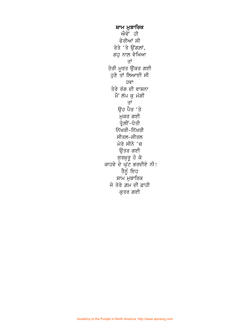ਸ਼ਾਮ ਮੁਬਾਰਿਕ ਐਵੇਂ ਹੀ ਫੇਰੀਆਂ ਸੀ ਰੇਤੇ 'ਤੇ ਉਂਗਲਾਂ, ਗਹੁ ਨਾਲ਼ ਵੇਖਿਆ ਤਾਂ ਤੇਰੀ ਮੂਰਤ ਉੱਕਰ ਗਈ ਹੁਣੇ ਤਾਂ ਲਿਆਈ ਸੀ ਹਵਾ ਤੇਰੇ ਰੰਗ ਦੀ ਵਾਸ਼ਨਾ ਮੈਂ ਲੱਪ ਕੁ ਮੰਗੀ ਤਾਂ ਉਹ ਪੈਰ 'ਤੇ ਮੁਕਰ ਗਈ ਤ੍ਰੇ.ਲੀਂ-ਧੋਤੀ ਨਿੱਖਰੀ–ਨਿੱਖਰੀ ਸੀਤਲ-ਸੀਤਲ ਮੇਰੇ ਸੀਨੇ 'ਚ ਉਤਰ ਗਈ ਸੁਰਖ਼ੁਰੂ ਹੋ ਕੇ ਕਾਹਵੇ ਦੇ ਘੁੱਟ ਭਰਦੀਏ ਨੀ! ਤੈਨੂੰ ਇਹ ਸ਼ਾਮ ਮੁਬਾਰਿਕ ਜੋ ਤੇਰੇ ਗ਼ਮ ਦੀ ਫ਼ਾਹੀ ਕੁਤਰ ਗਈ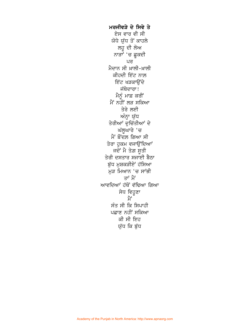ਮਰਜੀਵੜੇ ਦੇ ਸਿਵੇ ਤੇ ਏਸ ਵਾਰ ਵੀ ਸੀ ਯੋਧੇ ਯੁੱਧ ਤੋਂ ਕਾਹਲੇ ਲਹੂ ਦੀ ਲੋਅ ਨਾੜਾਂ 'ਚ ਛੁਕਦੀ ਪਰ ਮੈਦਾਨ ਸੀ ਖ਼ਾਲੀ-ਖ਼ਾਲੀ ਕੀਹਦੀ ਇੱਟ ਨਾਲ਼ ਇੱਟ ਖੜਕਾਉਂਦੇ ਜੱਥੇਦਾਰਾ! ਮੈਨੂੰ ਮਾਫ਼ ਕਰੀਂ ਮੈਂ ਨਹੀਂ ਲੜ ਸਕਿਆ ਤੇਰੇ ਲਈ ਅੰਨ੍ਹਾ ਯੁੱਧ ਤੇਰੀਆਂ ਦੁਚਿੱਤੀਆਂ ਦੇ ਘੱਲੂਘਾਰੇ 'ਚ ਮੈਂ ਬੌਂਦਲ਼ ਗਿਆ ਸੀ ਤੇਰਾ ਹੁਕਮ ਵਜਾਉਂਦਿਆਂ ਜਦੋਂ ਮੈ ਤੇਗ਼ ਸੂਤੀ ਤੇਰੀ ਦਸਤਾਰ ਸਜਾਈ ਬੈਠਾ ਬੁੱਧ ਮੁਸ਼ਕੜੀਏ ਹੱਸਿਆ ਮੜ ਮਿਆਨ 'ਚ ਸਾਂਭੀ ਤਾਂ ਮੈਂ ਆਵਦਿਆਂ ਹੱਥੋਂ ਵੱਢਿਆ ਗਿਆ ਸੇਧ ਵਿਹੂਣਾ ਮੈਂ ਸੰਤ ਸੀ ਕਿ ਸਿਪਾਹੀ ਪਛਾਣ ਨਹੀਂ ਸਕਿਆ ਕੀ ਸੀ ਇਹ ਯੁੱਧ ਕਿ ਬੁੱਧ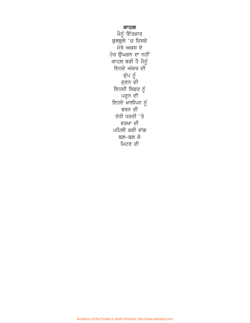ਕਾਹਲ਼ ਮੈਨੂੰ ਇੰਤਜ਼ਾਰ ਬੁਲਬੁਲੇ 'ਚ ਦਿਸਦੇ ਮੇਰੇ ਅਕਸ ਦੇ ਹੋਰ ਉੱਘੜਨ ਦਾ ਨਹੀਂ ਕਾਹਲ਼ ਬੜੀ ਹੈ ਮੈਨੂੰ ਇਹਦੇ ਅੰਦਰ ਦੀ ਚੁੱਪ ਨੂੰ ਸੁਣਨ ਦੀ ਇਹਦੀ ਸਿਫ਼ਰ ਨੂੰ ੂ ਪੜ੍ਹਨ ਦੀ<br>ਇਹਦੇ ਖ਼ਾਲੀਪੁਨ ਨੂੰ ਭਰਨ ਦੀ ਤੱਤੀ ਧਰਤੀ 'ਤੇ ਵਰਖਾ ਦੀ ਪਹਿਲੀ ਕਣੀ ਵਾਂਗ ਬਲ਼–ਬਲ਼ ਕੇ ਮਿਟਣ ਦੀ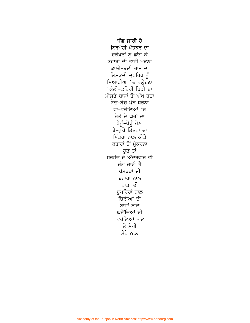ਜੰਗ ਜਾਰੀ ਹੈ ਨਿਰਮੋਹੀ ਪੱਤਝੜ ਦਾ ਦਰੱਖ਼ਤਾਂ ਨੂੰ ਛਾਂਗ ਕੇ ਬਹਾਰਾਂ ਦੀ ਭਾਜੀ ਮੋੜਨਾ ਕਾਲ਼ੀ-ਬੋਲ਼ੀ ਰਾਤ ਦਾ ਲਿਸ਼ਕਦੀ ਦੁਪਹਿਰ ਨੂੰ ਸਿਆਹੀਆਂ 'ਚ ਵਲ੍ਹੇਟਣਾ 'ਕੱਲੀ-ਕਹਿਰੀ ਚਿੜੀ ਦਾ ਮੀਸਣੇ ਬਾਜਾਂ ਤੋਂ ਅੱਖ ਬਚਾ ਬੋਚ-ਬੋਚ ਪੱਬ ਧਰਨਾ ਵਾ-ਵਰੋਲ਼ਿਆਂ 'ਚ ਰੇਤੇ ਦੇ ਘਰਾਂ ਦਾ ਖੇਰੂੰ-ਖੇਰੂੰ ਹੋਣਾ ਬੇ-ਗੁਰੇ ਤਿੱਤਰਾਂ ਦਾ ਮਿੱਤਰਾਂ ਨਾਲ਼ ਕੀਤੇ ਕਰਾਰਾਂ ਤੋਂ ਮੁੱਕਰਨਾ ਹਣ ਤਾਂ ਸਰਹੱਦ ਦੇ ਅੰਦਰਵਾਰ ਵੀ ਜੰਗ ਜਾਰੀ ਹੈ ਪੱਤਝੜਾਂ ਦੀ ਬਹਾਰਾਂ ਨਾਲ਼ ਰਾਤਾਂ ਦੀ ਦੁਪਹਿਰਾਂ ਨਾਲ਼ ਚਿੜੀਆਂ ਦੀ ਬਾਜਾਂ ਨਾਲ਼ ਘਰੌਂਦਿਆਂ ਦੀ ਵਰੋਲਿਆਂ ਨਾਲ਼ ਤੇ ਮੇਰੀ ਮੇਰੇ ਨਾਲ਼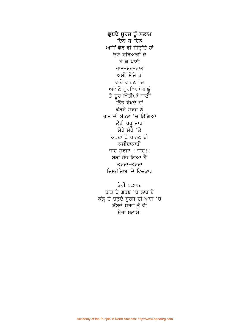ਡੁੱਬਦੇ ਸੂਰਜ ਨੂੰ ਸਲਾਮ ਦਿਨ-ਬ-ਦਿਨ ਅਸੀਂ ਫੇਰ ਵੀ ਜੀੳਂਦੇ ਹਾਂ ਉਣੇ ਦਰਿਆਵਾਂ ਦੇ ਹੋ ਕੇ ਪਾਣੀ ਰਾਤ-ਦਰ-ਰਾਤ ਅਸੀਂ ਸੌਂਦੇ ਹਾਂ ਵਾਹੇ ਵਾਹਣ 'ਚ ਆਪਣੇ ਪੁਰਖਿਆਂ ਵਾਂਙੁੰ ਤੇ ਦੂਰ ਖਿੱਤੀਆਂ ਥਾਣੀਂ \_<br>ਨਿੱਤ ਵੇਖਦੇ ਹਾਂ ਡੁੱਬਦੇ ਸੁਰਜ ਨੂੰ ਰਾਤ ਦੀ ਬੁੱਕਲ਼ 'ਚ ਡਿੱਗਿਆ ੳਹੀ ਧਰ ਤਾਰਾ ਮੇਰੇ ਮੱਥੇ 'ਤੇ ਕਰਦਾ ਹੈ ਚਾਨਣ ਦੀ ਕਸੀਦਾਕਾਰੀ ਜਾਹ ਸੁਰਜਾ ! ਜਾਹ!! ਬੜਾ ਹੰਭ ਗਿਆ ਹੈ<sup>:</sup> ਤੁਰਦਾ–ਤੁਰਦਾ ਦਿਸਹੱਦਿਆਂ ਦੇ ਵਿਚਕਾਰ

ਤੇਰੀ ਥਕਾਵਟ ਰਾਤ ਦੇ ਗਰਭ 'ਚ ਲਾਹ ਦੇ ਕੱਲ੍ਹ ਦੇ ਚੜ੍ਹਦੇ ਸੂਰਜ ਦੀ ਆਸ 'ਚ ਡੁੱਬਦੇ ਸੂਰਜ ਨੂੰ ਵੀ ਮੇਰਾ ਸਲਾਮ!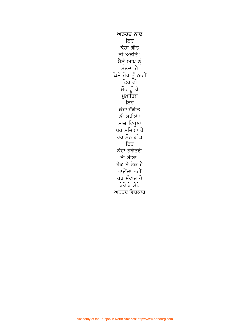ਅਨਹਦ ਨਾਦ ਇਹ ਕੇਹਾ ਗੀਤ ਨੀ ਅੜੀਏ! ਮੈਨੂੰ ਆਪ ਨੂੰ<br>ਸੁਣਦਾ ਹੈ ਕਿਸੇ ਹੋਰ ਨੂੰ ਨਾਹੀਂ ਫਿਰ ਵੀ ਮੌਨ ਨੂੰ ਹੈ ਮੁਖ਼ਾਤਿਬ ਇਹ ਕੇਹਾ ਸੰਗੀਤ ਨੀ ਸਖੀਏ! ਸਾਜ਼ ਵਿਹੂਣਾ ਪਰ ਸਜਿਆ ਹੈ ਹਰ ਮੌਨ ਗੀਤ ਇਹ ਕੇਹਾ ਗਵੰਤਰੀ ਨੀ ਬੀਬਾ! ਹੇਕ ਤੇ ਟੇਕ ਹੈ ਗਾਉਂਦਾ ਨਹੀਂ ਪਰ ਸੰਵਾਦ ਹੈ ਤੇਰੇ ਤੇ ਮੇਰੇ ਅਨਹਦ ਵਿਚਕਾਰ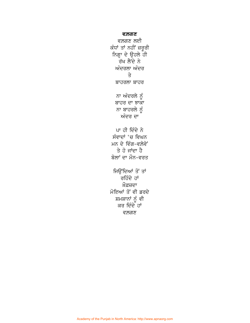**ਵਲਗਣ** 

ਵਲਗਣ ਲਈ ਕੰਧਾਂ ਤਾਂ ਨਹੀਂ ਜ਼ਰੂਰੀ ਨਿਗ੍ਹਾ ਦੇ ਉਹਲੇ ਹੀ ਰੱਖ ਲੈਂਦੇ ਨੇ ਅੰਦਰਲਾ ਅੰਦਰ ਤੇ ਬਾਹਰਲਾ ਬਾਹਰ ਨਾ ਅੰਦਰਲੇ ਨੂੰ ਬਾਹਰ ਦਾ ਝਾਕਾ ਨਾ ਬਾਹਰਲੇ ਨੂੰ ਅੰਦਰ ਦਾ ਪਾ ਹੀ ਦਿੰਦੇ ਨੇ ਸੰਵਾਦਾਂ 'ਚ ਵਿਘਨ ਮਨ ਦੇ ਵਿੰਗ-ਵਲ਼ੇਵੇਂ ਤੇ ਹੋ ਜਾਂਦਾ ਹੈ ਬੋਲਾਂ ਦਾ ਮੌਨ-ਵਰਤ ਜਿੳਂਦਿਆਂ ਤੋਂ ਤਾਂ ਰਹਿੰਦੇ ਹਾਂ ਮੌਫ਼ਜ਼ਦਾ ਮੋਇਆਂ ਤੋਂ ਵੀ ਡਰਦੇ ਸ਼ਮਸ਼ਾਨਾਂ ਨੂੰ ਵੀ ਕਰ ਦਿੰਦੇ ਹਾਂ ਵਲਗਣ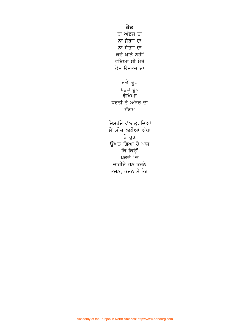ਭੇਤ ਨਾ ਅੰਡਜ ਦਾ ਨਾ ਜੇਰਜ ਦਾ ਨਾ ਸੇਤਜ ਦਾ ਕਦੇ ਖਾਨੇ ਨਹੀਂ ਵੜਿਆ ਸੀ ਮੇਰੇ ਭੇਤ ਉਤਭੁਜ ਦਾ ਜਦੋਂ ਦੂਰ ਬਹੁਤ ਦੂਰ<br>ਵੇਖਿਆ ਧਰਤੀ ਤੇ ਅੰਬਰ ਦਾ ਸੰਗਮ ਦਿਸਹੱਦੇ ਵੱਲ ਤੁਰਦਿਆਂ ਮੈਂ ਮੀਚ ਲਈਆਂ ਅੱਖਾਂ ਤੇ ਹੁਣ ਉਂਘੜ ਗਿਆ ਹੈ ਪਾਜ ਕਿ ਕਿਉਂ ਪੜਦੇ 'ਚ ਚਾਹੀਦੇ ਹਨ ਕਰਨੇ

ਭਜਨ, ਭੋਜਨ ਤੇ ਭੋਗ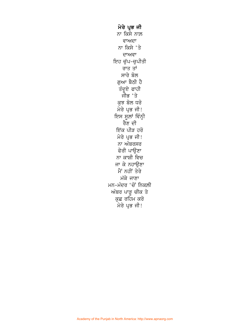ਮੇਰੇ ਪ੍ਰਭ ਜੀ ਨਾ ਕਿਸੇ ਨਾਲ਼ ਵਾਅਦਾ ਨਾ ਕਿਸੇ 'ਤੇ ਦਾਅਵਾ ਇਹ ਚੁੱਪ-ਚੁਪੀਤੀ ਰਾਤ ਤਾਂ ਸਾਰੇ ਬੋਲ ਗੁਆ ਬੈਠੀ ਹੈ ਤੰਦੂਏ ਫਾਹੀ ਜੀਭ 'ਤੇ ਕੁਝ ਬੋਲ ਧਰੋ ਮੇਰੇ ਪ੍ਰਭ ਜੀ! ਇਸ ਸੂਲਾਂ ਵਿੰਨ੍ਹੀ ਰੈਣ ਦੀ ਇੱਕ ਪੀੜ ਹਰੋ ਮੇਰੇ ਪ੍ਰਭ ਜੀ! ਨਾ ਅੰਬਰਸਰ ਫੇਰੀ ਪਾੳਣਾ ਨਾ ਕਾਸ਼ੀ ਵਿਚ ਜਾ ਕੇ ਨਹਾਉਣਾ ਮੈਂ ਨਹੀਂ ਤੇਰੇ ਮੱਕੇ ਜਾਣਾ ਮਨ-ਮੰਦਰ 'ਚੋਂ' ਨਿਕਲ਼ੀ ਅੰਬਰ ਪਾੜੂ ਚੀਕ ਤੇ ਕੁਛ ਰਹਿਮ ਕਰੋ ਮੇਰੇ ਪ੍ਰਭ ਜੀ!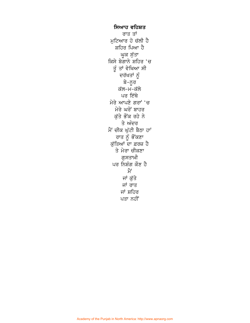ਸਿਆਹ ਵਹਿਸ਼ਤ ਰਾਤ ਤਾਂ ਮਟਿਆਰ ਹੋ ਚੱਲੀ ਹੈ ਸ਼ਹਿਰ ਪਿਆ ਹੈ ਘੂਕ ਸੁੱਤਾ<br>ਕਿਸੇ ਬੇਗਾਨੇ ਸ਼ਹਿਰ 'ਚ ਤੂੰ ਤਾਂ ਵੇਖਿਆ ਸੀ ਦਰੱਖਤਾਂ ਨੂੰ ਬੇ−ਨੁਰ ਕੱਲ–ਮ–ਕੱਲੇ ਪਰ ਇੱਥੇ ਮੇਰੇ ਆਪਣੇ ਗਰਾਂ 'ਚ ਮੇਰੇ ਘਰੋਂ ਬਾਹਰ ਕੱਤੇ ਭੌਂਕ ਰਹੇ ਨੇ ਤੇ ਅੰਦਰ ਮੈਂ ਚੀਕ ਘੱਟੀ ਬੈਠਾ ਹਾਂ ਰਾਤ ਨੂੰ ਭੌਂਕਣਾ ਕੁੱਤਿਆਂ ਦਾ ਫ਼ਰਜ਼ ਹੈ ਤੇ ਮੇਰਾ ਚੀਕਣਾ ਗਸਤਾਖ਼ੀ ਪਰ ਨਿਸ਼ੰਗ ਕੌਣ ਹੈ ਮੈਂ ਜਾਂ ਕੁੱਤੇ ਜਾਂ ਰਾਤ ਜਾਂ ਸ਼ਹਿਰ ਪਤਾ ਨਹੀਂ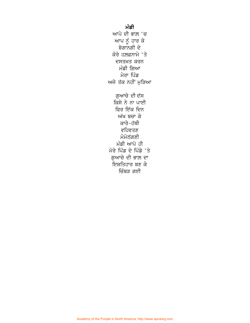ਮੰਡੀ ਆਪੇ ਦੀ ਭਾਲ਼ 'ਚ ਆਪ ਨੂੰ ਹਾਰ ਕੇ ਬੇਗਾਨਗੀ ਦੇ ਕੋਰੇ ਹਲ਼ਫ਼ਨਾਮੇ 'ਤੇ ਦਸਤਖ਼ਤ ਕਰਨ ਮੰਡੀ ਗਿਆ ਮੇਰਾ ਪਿੰਡ ਅਜੇ ਤੱਕ ਨਹੀਂ ਮੁੜਿਆ ਗੁਆਚੇ ਦੀ ਦੱਸ ਕਿਸੇ ਨੇ ਨਾ ਪਾਈ ਫਿਰ ਇੱਕ ਦਿਨ ਅੱਖ ਬਚਾ ਕੇ ਕਾਰੇ-ਹੱਥੀ ਵਹਿਵਤਣ ਮੋਮੋਠੱਗਣੀ ਮੰਡੀ ਆਪੇ ਹੀ ਮੇਰੇ ਪਿੰਡ ਦੇ ਪਿੰਡੇ 'ਤੇ ਗਆਚੇ ਦੀ ਭਾਲ਼ ਦਾ ਇਸ਼ਤਿਹਾਰ ਬਣ ਕੇ ਜ਼ਿੰਬਤ ਗਈ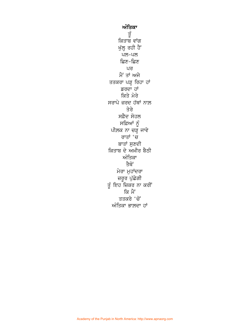ਅੰਤਿਕਾ ਹੂੰ ਕਿਤਾਬ ਵਾਂਗ ਖੁੱਲ੍ਹ ਰਹੀ ਹੈ<sup>:</sup> ਪਲ–ਪਲ ਛਿਣ–ਛਿਣ ਪਰ ਮੈਂ ਤਾਂ ਅਜੇ ਤਤਕਰਾ ਪੜ੍ਹ ਰਿਹਾ ਹਾਂ ਡਰਦਾ ਹਾਂ ਕਿਤੇ ਮੇਰੇ ਸਰਾਪੇ ਜ਼ਰਦ ਹੱਥਾਂ ਨਾਲ਼ ਤੇਰੇ ਸਫ਼ੈਦ ਸੋਹਲ ਸਫ਼ਿਆਂ ਨੂੰ ਪੀਲ਼ਕ ਨਾ ਚੜ੍ਹ ਜਾਵੇ ਰਾਤਾਂ 'ਚ ਬਾਤਾਂ ਸੁਣਦੀ ਕਿਤਾਬ ਦੇ ਅਖ਼ੀਰ ਬੈਠੀ ਅੰਤਿਕਾ ਤੈਥੋਂ ਮੇਰਾ ਮੁਹਾਂਦਰਾ ਜ਼ਰੂਰ ਪੁੱਛੇਗੀ ਤੂੰ ਇਹ ਜ਼ਿਕਰ ਨਾ ਕਰੀਂ ਕਿ ਮੈਂ ਤਤਕਰੇ 'ਚੋਂ ਅੰਤਿਕਾ ਭਾਲ਼ਦਾ ਹਾਂ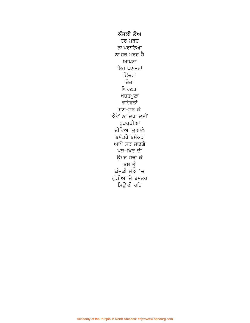ਕੰਜਕੀ ਲੋਅ ਹਰ ਮਰਦ ਨਾ ਪਰਾਇਆ ਨਾ ਹਰ ਮਰਦ ਹੈ ਆਪਣਾ ਇਹ ਘੁਣਤਰਾਂ ਟਿੱਚਰਾਂ ਚੋਭਾਂ ਘਿਰਣਤਾਂ ਖਚਰਪੁਣਾ ਵਹਿਵਤਾਂ ਸੁਣ-ਸੁਣ ਕੇ ਐਵੇਂ ਨਾ ਦੁਖਾ ਲਈਂ ਪੁੜਪੁੜੀਆਂ ਦੀਵਿਆਂ ਦੁਆਲ਼ੇ ਭਮੱਤਰੇ ਭਮੱਕੜ ਆਪੇ ਸੜ ਜਾਣਗੇ ਪਲ-ਖਿਣ ਦੀ ਉਮਰ ਹੰਢਾ ਕੇ ੱ ਬਸ ਤੂੰ<br>ਕੰਜਕੀ ਲੋਅ 'ਚ ਗੁੱਡੀਆਂ ਦੇ ਬਸਤਰ ਸਿਉਂਦੀ ਰਹਿ